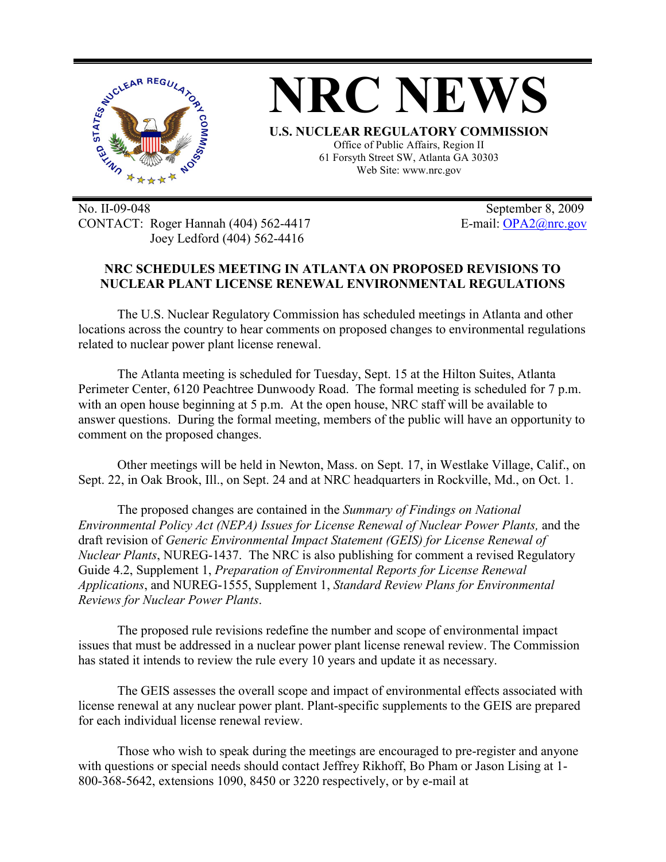

No. II-09-048 September 8, 2009 CONTACT: Roger Hannah (404) 562-4417 E-mail: OPA2@nrc.gov Joey Ledford (404) 562-4416

## **NRC SCHEDULES MEETING IN ATLANTA ON PROPOSED REVISIONS TO NUCLEAR PLANT LICENSE RENEWAL ENVIRONMENTAL REGULATIONS**

The U.S. Nuclear Regulatory Commission has scheduled meetings in Atlanta and other locations across the country to hear comments on proposed changes to environmental regulations related to nuclear power plant license renewal.

The Atlanta meeting is scheduled for Tuesday, Sept. 15 at the Hilton Suites, Atlanta Perimeter Center, 6120 Peachtree Dunwoody Road. The formal meeting is scheduled for 7 p.m. with an open house beginning at 5 p.m. At the open house, NRC staff will be available to answer questions. During the formal meeting, members of the public will have an opportunity to comment on the proposed changes.

Other meetings will be held in Newton, Mass. on Sept. 17, in Westlake Village, Calif., on Sept. 22, in Oak Brook, Ill., on Sept. 24 and at NRC headquarters in Rockville, Md., on Oct. 1.

The proposed changes are contained in the *Summary of Findings on National Environmental Policy Act (NEPA) Issues for License Renewal of Nuclear Power Plants,* and the draft revision of *Generic Environmental Impact Statement (GEIS) for License Renewal of Nuclear Plants*, NUREG-1437. The NRC is also publishing for comment a revised Regulatory Guide 4.2, Supplement 1, *Preparation of Environmental Reports for License Renewal Applications*, and NUREG-1555, Supplement 1, *Standard Review Plans for Environmental Reviews for Nuclear Power Plants*.

The proposed rule revisions redefine the number and scope of environmental impact issues that must be addressed in a nuclear power plant license renewal review. The Commission has stated it intends to review the rule every 10 years and update it as necessary.

The GEIS assesses the overall scope and impact of environmental effects associated with license renewal at any nuclear power plant. Plant-specific supplements to the GEIS are prepared for each individual license renewal review.

Those who wish to speak during the meetings are encouraged to pre-register and anyone with questions or special needs should contact Jeffrey Rikhoff, Bo Pham or Jason Lising at 1- 800-368-5642, extensions 1090, 8450 or 3220 respectively, or by e-mail at